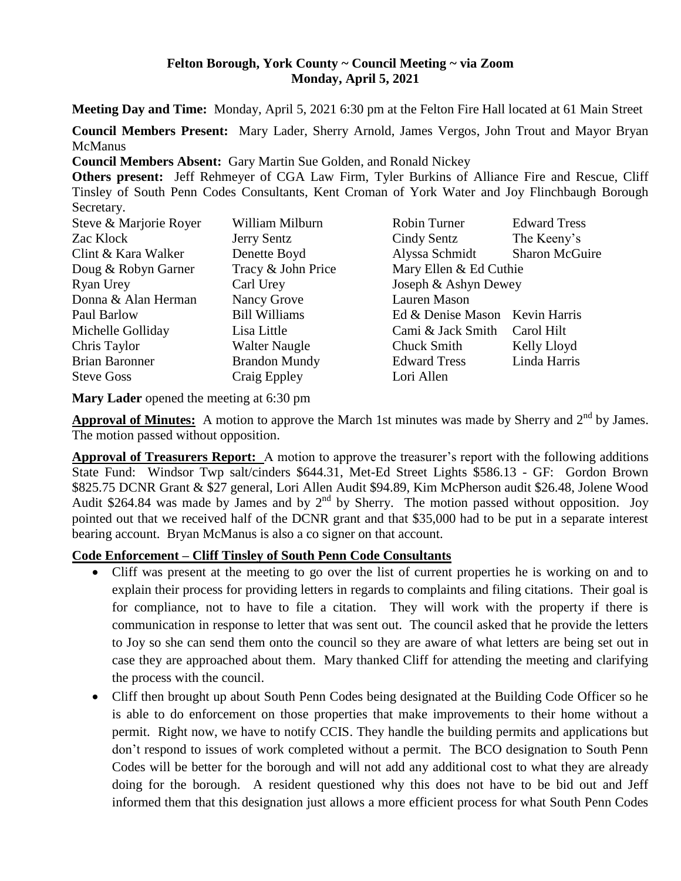#### **Felton Borough, York County ~ Council Meeting ~ via Zoom Monday, April 5, 2021**

**Meeting Day and Time:** Monday, April 5, 2021 6:30 pm at the Felton Fire Hall located at 61 Main Street

**Council Members Present:** Mary Lader, Sherry Arnold, James Vergos, John Trout and Mayor Bryan **McManus** 

**Council Members Absent:** Gary Martin Sue Golden, and Ronald Nickey

**Others present:** Jeff Rehmeyer of CGA Law Firm, Tyler Burkins of Alliance Fire and Rescue, Cliff Tinsley of South Penn Codes Consultants, Kent Croman of York Water and Joy Flinchbaugh Borough Secretary.

| William Milburn      | Robin Turner                   | <b>Edward Tress</b>   |
|----------------------|--------------------------------|-----------------------|
| Jerry Sentz          | Cindy Sentz                    | The Keeny's           |
| Denette Boyd         | Alyssa Schmidt                 | <b>Sharon McGuire</b> |
| Tracy & John Price   | Mary Ellen & Ed Cuthie         |                       |
| Carl Urey            | Joseph & Ashyn Dewey           |                       |
| Nancy Grove          | Lauren Mason                   |                       |
| <b>Bill Williams</b> | Ed & Denise Mason Kevin Harris |                       |
| Lisa Little          | Cami & Jack Smith              | Carol Hilt            |
| <b>Walter Naugle</b> | Chuck Smith                    | Kelly Lloyd           |
| <b>Brandon Mundy</b> | <b>Edward Tress</b>            | Linda Harris          |
| Craig Eppley         | Lori Allen                     |                       |
|                      |                                |                       |

**Mary Lader** opened the meeting at 6:30 pm

Approval of Minutes: A motion to approve the March 1st minutes was made by Sherry and 2<sup>nd</sup> by James. The motion passed without opposition.

**Approval of Treasurers Report:** A motion to approve the treasurer's report with the following additions State Fund: Windsor Twp salt/cinders \$644.31, Met-Ed Street Lights \$586.13 - GF: Gordon Brown \$825.75 DCNR Grant & \$27 general, Lori Allen Audit \$94.89, Kim McPherson audit \$26.48, Jolene Wood Audit \$264.84 was made by James and by  $2<sup>nd</sup>$  by Sherry. The motion passed without opposition. Joy pointed out that we received half of the DCNR grant and that \$35,000 had to be put in a separate interest bearing account. Bryan McManus is also a co signer on that account.

#### **Code Enforcement – Cliff Tinsley of South Penn Code Consultants**

- Cliff was present at the meeting to go over the list of current properties he is working on and to explain their process for providing letters in regards to complaints and filing citations. Their goal is for compliance, not to have to file a citation. They will work with the property if there is communication in response to letter that was sent out. The council asked that he provide the letters to Joy so she can send them onto the council so they are aware of what letters are being set out in case they are approached about them. Mary thanked Cliff for attending the meeting and clarifying the process with the council.
- Cliff then brought up about South Penn Codes being designated at the Building Code Officer so he is able to do enforcement on those properties that make improvements to their home without a permit. Right now, we have to notify CCIS. They handle the building permits and applications but don't respond to issues of work completed without a permit. The BCO designation to South Penn Codes will be better for the borough and will not add any additional cost to what they are already doing for the borough. A resident questioned why this does not have to be bid out and Jeff informed them that this designation just allows a more efficient process for what South Penn Codes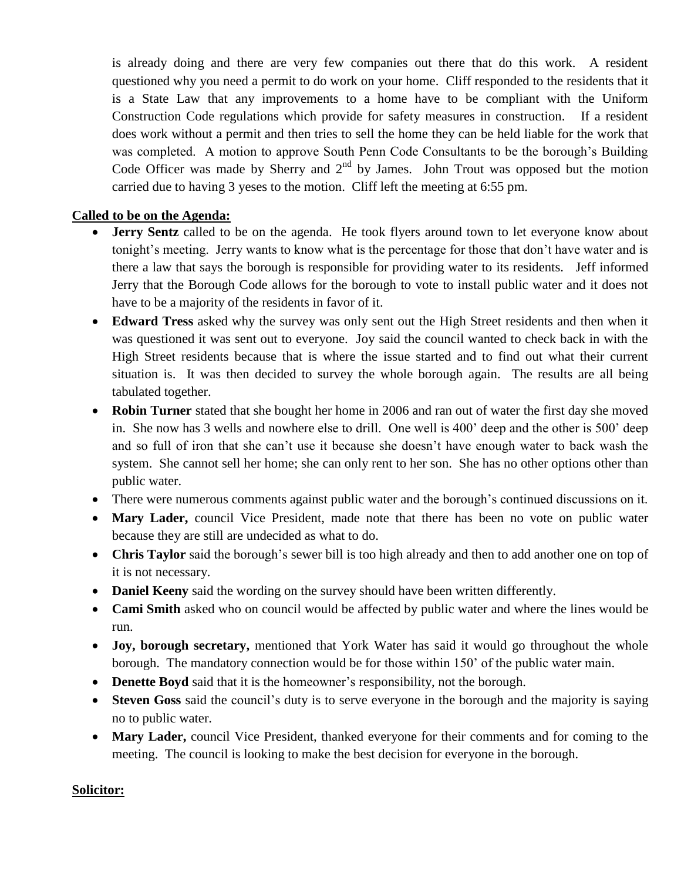is already doing and there are very few companies out there that do this work. A resident questioned why you need a permit to do work on your home. Cliff responded to the residents that it is a State Law that any improvements to a home have to be compliant with the Uniform Construction Code regulations which provide for safety measures in construction. If a resident does work without a permit and then tries to sell the home they can be held liable for the work that was completed. A motion to approve South Penn Code Consultants to be the borough's Building Code Officer was made by Sherry and  $2<sup>nd</sup>$  by James. John Trout was opposed but the motion carried due to having 3 yeses to the motion. Cliff left the meeting at 6:55 pm.

## **Called to be on the Agenda:**

- **Jerry Sentz** called to be on the agenda. He took flyers around town to let everyone know about tonight's meeting. Jerry wants to know what is the percentage for those that don't have water and is there a law that says the borough is responsible for providing water to its residents. Jeff informed Jerry that the Borough Code allows for the borough to vote to install public water and it does not have to be a majority of the residents in favor of it.
- **Edward Tress** asked why the survey was only sent out the High Street residents and then when it was questioned it was sent out to everyone. Joy said the council wanted to check back in with the High Street residents because that is where the issue started and to find out what their current situation is. It was then decided to survey the whole borough again. The results are all being tabulated together.
- **Robin Turner** stated that she bought her home in 2006 and ran out of water the first day she moved in. She now has 3 wells and nowhere else to drill. One well is 400' deep and the other is 500' deep and so full of iron that she can't use it because she doesn't have enough water to back wash the system. She cannot sell her home; she can only rent to her son. She has no other options other than public water.
- There were numerous comments against public water and the borough's continued discussions on it.
- **Mary Lader,** council Vice President, made note that there has been no vote on public water because they are still are undecided as what to do.
- **Chris Taylor** said the borough's sewer bill is too high already and then to add another one on top of it is not necessary.
- **Daniel Keeny** said the wording on the survey should have been written differently.
- **Cami Smith** asked who on council would be affected by public water and where the lines would be run.
- **Joy, borough secretary,** mentioned that York Water has said it would go throughout the whole borough. The mandatory connection would be for those within 150' of the public water main.
- **Denette Boyd** said that it is the homeowner's responsibility, not the borough.
- **Steven Goss** said the council's duty is to serve everyone in the borough and the majority is saying no to public water.
- **Mary Lader,** council Vice President, thanked everyone for their comments and for coming to the meeting. The council is looking to make the best decision for everyone in the borough.

## **Solicitor:**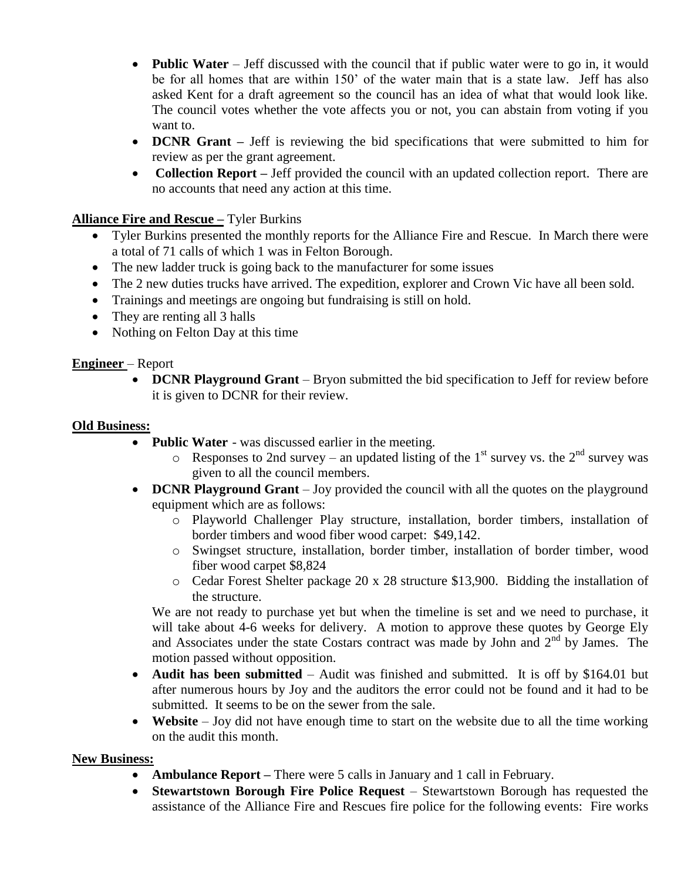- **Public Water** Jeff discussed with the council that if public water were to go in, it would be for all homes that are within 150' of the water main that is a state law. Jeff has also asked Kent for a draft agreement so the council has an idea of what that would look like. The council votes whether the vote affects you or not, you can abstain from voting if you want to.
- **DCNR Grant** Jeff is reviewing the bid specifications that were submitted to him for review as per the grant agreement.
- **Collection Report** Jeff provided the council with an updated collection report. There are no accounts that need any action at this time.

# **Alliance Fire and Rescue –** Tyler Burkins

- Tyler Burkins presented the monthly reports for the Alliance Fire and Rescue. In March there were a total of 71 calls of which 1 was in Felton Borough.
- The new ladder truck is going back to the manufacturer for some issues
- The 2 new duties trucks have arrived. The expedition, explorer and Crown Vic have all been sold.
- Trainings and meetings are ongoing but fundraising is still on hold.
- They are renting all 3 halls
- Nothing on Felton Day at this time

# **Engineer** – Report

• **DCNR Playground Grant** – Bryon submitted the bid specification to Jeff for review before it is given to DCNR for their review.

### **Old Business:**

- **Public Water**  was discussed earlier in the meeting.
	- $\circ$  Responses to 2nd survey an updated listing of the 1<sup>st</sup> survey vs. the 2<sup>nd</sup> survey was given to all the council members.
- **DCNR Playground Grant** Joy provided the council with all the quotes on the playground equipment which are as follows:
	- o Playworld Challenger Play structure, installation, border timbers, installation of border timbers and wood fiber wood carpet: \$49,142.
	- o Swingset structure, installation, border timber, installation of border timber, wood fiber wood carpet \$8,824
	- o Cedar Forest Shelter package 20 x 28 structure \$13,900. Bidding the installation of the structure.

We are not ready to purchase yet but when the timeline is set and we need to purchase, it will take about 4-6 weeks for delivery. A motion to approve these quotes by George Ely and Associates under the state Costars contract was made by John and  $2<sup>nd</sup>$  by James. The motion passed without opposition.

- **Audit has been submitted** Audit was finished and submitted. It is off by \$164.01 but after numerous hours by Joy and the auditors the error could not be found and it had to be submitted. It seems to be on the sewer from the sale.
- Website Joy did not have enough time to start on the website due to all the time working on the audit this month.

## **New Business:**

- **Ambulance Report –** There were 5 calls in January and 1 call in February.
- **Stewartstown Borough Fire Police Request**  Stewartstown Borough has requested the assistance of the Alliance Fire and Rescues fire police for the following events: Fire works